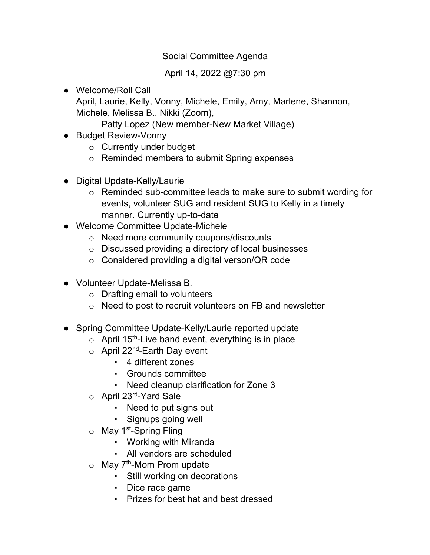## Social Committee Agenda

## April 14, 2022 @7:30 pm

● Welcome/Roll Call April, Laurie, Kelly, Vonny, Michele, Emily, Amy, Marlene, Shannon, Michele, Melissa B., Nikki (Zoom),

Patty Lopez (New member-New Market Village)

- Budget Review-Vonny
	- o Currently under budget
	- o Reminded members to submit Spring expenses
- Digital Update-Kelly/Laurie
	- o Reminded sub-committee leads to make sure to submit wording for events, volunteer SUG and resident SUG to Kelly in a timely manner. Currently up-to-date
- Welcome Committee Update-Michele
	- o Need more community coupons/discounts
	- o Discussed providing a directory of local businesses
	- o Considered providing a digital verson/QR code
- Volunteer Update-Melissa B.
	- o Drafting email to volunteers
	- o Need to post to recruit volunteers on FB and newsletter
- Spring Committee Update-Kelly/Laurie reported update
	- $\circ$  April 15<sup>th</sup>-Live band event, everything is in place
	- $\circ$  April 22<sup>nd</sup>-Earth Day event
		- 4 different zones
		- Grounds committee
		- Need cleanup clarification for Zone 3
	- $\circ$  April 23<sup>rd</sup>-Yard Sale
		- Need to put signs out
		- Signups going well
	- $\circ$  May 1<sup>st</sup>-Spring Fling
		- Working with Miranda
		- All vendors are scheduled
	- $\circ$  May 7<sup>th</sup>-Mom Prom update
		- Still working on decorations
		- Dice race game
		- Prizes for best hat and best dressed